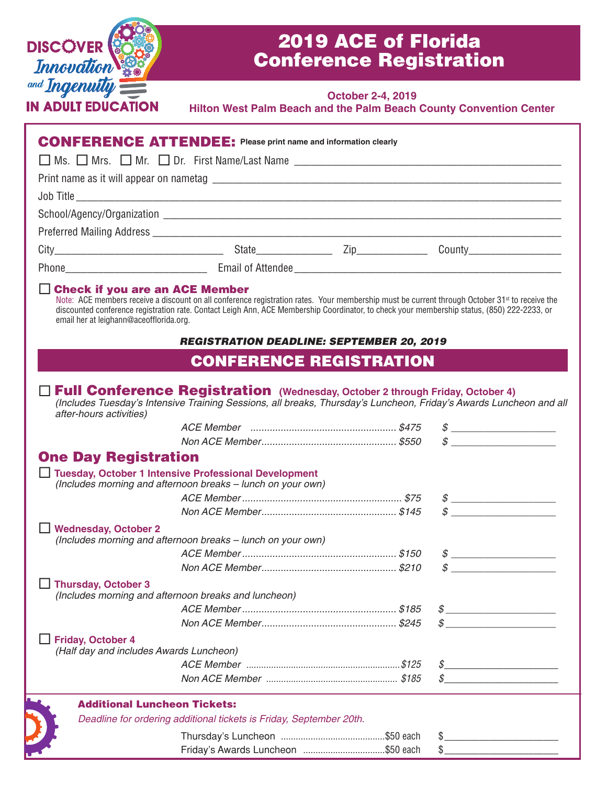

## 2019 ACE of Florida Conference Registration

## **October 2-4, 2019**

| Hilton West Palm Beach and the Palm Beach County Convention Center |
|--------------------------------------------------------------------|
|--------------------------------------------------------------------|

|                                                                                  | <b>CONFERENCE ATTENDEE:</b> Please print name and information clearly                                                                                                                                                                                                                                     |                                                                                                                                                                                                                                                                                                                                                                                                |
|----------------------------------------------------------------------------------|-----------------------------------------------------------------------------------------------------------------------------------------------------------------------------------------------------------------------------------------------------------------------------------------------------------|------------------------------------------------------------------------------------------------------------------------------------------------------------------------------------------------------------------------------------------------------------------------------------------------------------------------------------------------------------------------------------------------|
|                                                                                  |                                                                                                                                                                                                                                                                                                           |                                                                                                                                                                                                                                                                                                                                                                                                |
|                                                                                  |                                                                                                                                                                                                                                                                                                           |                                                                                                                                                                                                                                                                                                                                                                                                |
|                                                                                  |                                                                                                                                                                                                                                                                                                           |                                                                                                                                                                                                                                                                                                                                                                                                |
|                                                                                  |                                                                                                                                                                                                                                                                                                           |                                                                                                                                                                                                                                                                                                                                                                                                |
|                                                                                  |                                                                                                                                                                                                                                                                                                           |                                                                                                                                                                                                                                                                                                                                                                                                |
|                                                                                  |                                                                                                                                                                                                                                                                                                           |                                                                                                                                                                                                                                                                                                                                                                                                |
|                                                                                  |                                                                                                                                                                                                                                                                                                           |                                                                                                                                                                                                                                                                                                                                                                                                |
| $\Box$ Check if you are an ACE Member<br>email her at leighann@aceofflorida.org. | Note: ACE members receive a discount on all conference registration rates. Your membership must be current through October 31 <sup>st</sup> to receive the<br>discounted conference registration rate. Contact Leigh Ann, ACE Membership Coordinator, to check your membership status, (850) 222-2233, or |                                                                                                                                                                                                                                                                                                                                                                                                |
|                                                                                  | <b>REGISTRATION DEADLINE: SEPTEMBER 20, 2019</b>                                                                                                                                                                                                                                                          |                                                                                                                                                                                                                                                                                                                                                                                                |
|                                                                                  | <b>CONFERENCE REGISTRATION</b>                                                                                                                                                                                                                                                                            |                                                                                                                                                                                                                                                                                                                                                                                                |
| after-hours activities)                                                          | □ Full Conference Registration (Wednesday, October 2 through Friday, October 4)<br>(Includes Tuesday's Intensive Training Sessions, all breaks, Thursday's Luncheon, Friday's Awards Luncheon and all                                                                                                     |                                                                                                                                                                                                                                                                                                                                                                                                |
|                                                                                  |                                                                                                                                                                                                                                                                                                           | $\begin{picture}(20,10) \put(0,0){\vector(1,0){100}} \put(15,0){\vector(1,0){100}} \put(15,0){\vector(1,0){100}} \put(15,0){\vector(1,0){100}} \put(15,0){\vector(1,0){100}} \put(15,0){\vector(1,0){100}} \put(15,0){\vector(1,0){100}} \put(15,0){\vector(1,0){100}} \put(15,0){\vector(1,0){100}} \put(15,0){\vector(1,0){100}} \put(15,0){\vector(1,0){100}} \$                            |
|                                                                                  |                                                                                                                                                                                                                                                                                                           | $\begin{picture}(20,10) \put(0,0){\vector(1,0){100}} \put(15,0){\vector(1,0){100}} \put(15,0){\vector(1,0){100}} \put(15,0){\vector(1,0){100}} \put(15,0){\vector(1,0){100}} \put(15,0){\vector(1,0){100}} \put(15,0){\vector(1,0){100}} \put(15,0){\vector(1,0){100}} \put(15,0){\vector(1,0){100}} \put(15,0){\vector(1,0){100}} \put(15,0){\vector(1,0){100}} \$                            |
| <b>One Day Registration</b>                                                      | <b>Tuesday, October 1 Intensive Professional Development</b><br>(Includes morning and afternoon breaks - lunch on your own)                                                                                                                                                                               |                                                                                                                                                                                                                                                                                                                                                                                                |
|                                                                                  |                                                                                                                                                                                                                                                                                                           | $\begin{picture}(20,10) \put(0,0){\vector(1,0){100}} \put(15,0){\vector(1,0){100}} \put(15,0){\vector(1,0){100}} \put(15,0){\vector(1,0){100}} \put(15,0){\vector(1,0){100}} \put(15,0){\vector(1,0){100}} \put(15,0){\vector(1,0){100}} \put(15,0){\vector(1,0){100}} \put(15,0){\vector(1,0){100}} \put(15,0){\vector(1,0){100}} \put(15,0){\vector(1,0){100}} \$                            |
|                                                                                  |                                                                                                                                                                                                                                                                                                           | $\begin{picture}(20,10) \put(0,0){\vector(1,0){100}} \put(15,0){\vector(1,0){100}} \put(15,0){\vector(1,0){100}} \put(15,0){\vector(1,0){100}} \put(15,0){\vector(1,0){100}} \put(15,0){\vector(1,0){100}} \put(15,0){\vector(1,0){100}} \put(15,0){\vector(1,0){100}} \put(15,0){\vector(1,0){100}} \put(15,0){\vector(1,0){100}} \put(15,0){\vector(1,0){100}} \$                            |
| <b>Wednesday, October 2</b>                                                      | (Includes morning and afternoon breaks - lunch on your own)                                                                                                                                                                                                                                               |                                                                                                                                                                                                                                                                                                                                                                                                |
|                                                                                  |                                                                                                                                                                                                                                                                                                           | $\begin{picture}(20,10) \put(0,0){\vector(1,0){100}} \put(15,0){\vector(1,0){100}} \put(15,0){\vector(1,0){100}} \put(15,0){\vector(1,0){100}} \put(15,0){\vector(1,0){100}} \put(15,0){\vector(1,0){100}} \put(15,0){\vector(1,0){100}} \put(15,0){\vector(1,0){100}} \put(15,0){\vector(1,0){100}} \put(15,0){\vector(1,0){100}} \put(15,0){\vector(1,0){100}} \$                            |
| <b>Thursday, October 3</b>                                                       | (Includes morning and afternoon breaks and luncheon)                                                                                                                                                                                                                                                      |                                                                                                                                                                                                                                                                                                                                                                                                |
|                                                                                  |                                                                                                                                                                                                                                                                                                           | $\frac{\frac{1}{2}}{\frac{1}{2}+\frac{1}{2}+\frac{1}{2}+\frac{1}{2}+\frac{1}{2}+\frac{1}{2}+\frac{1}{2}+\frac{1}{2}+\frac{1}{2}+\frac{1}{2}+\frac{1}{2}+\frac{1}{2}+\frac{1}{2}+\frac{1}{2}+\frac{1}{2}+\frac{1}{2}+\frac{1}{2}+\frac{1}{2}+\frac{1}{2}+\frac{1}{2}+\frac{1}{2}+\frac{1}{2}+\frac{1}{2}+\frac{1}{2}+\frac{1}{2}+\frac{1}{2}+\frac{1}{2}+\frac{1}{2}+\frac{1}{2}+\frac{1}{2}+\$ |
|                                                                                  |                                                                                                                                                                                                                                                                                                           | $\mathcal{S}$                                                                                                                                                                                                                                                                                                                                                                                  |
| <b>Friday, October 4</b><br>(Half day and includes Awards Luncheon)              |                                                                                                                                                                                                                                                                                                           |                                                                                                                                                                                                                                                                                                                                                                                                |
|                                                                                  |                                                                                                                                                                                                                                                                                                           | S                                                                                                                                                                                                                                                                                                                                                                                              |
|                                                                                  |                                                                                                                                                                                                                                                                                                           | $\mathcal{S}$                                                                                                                                                                                                                                                                                                                                                                                  |
| <b>Additional Luncheon Tickets:</b>                                              |                                                                                                                                                                                                                                                                                                           |                                                                                                                                                                                                                                                                                                                                                                                                |
|                                                                                  | Deadline for ordering additional tickets is Friday, September 20th.                                                                                                                                                                                                                                       |                                                                                                                                                                                                                                                                                                                                                                                                |
|                                                                                  |                                                                                                                                                                                                                                                                                                           |                                                                                                                                                                                                                                                                                                                                                                                                |
|                                                                                  |                                                                                                                                                                                                                                                                                                           | $\mathbb{S}$                                                                                                                                                                                                                                                                                                                                                                                   |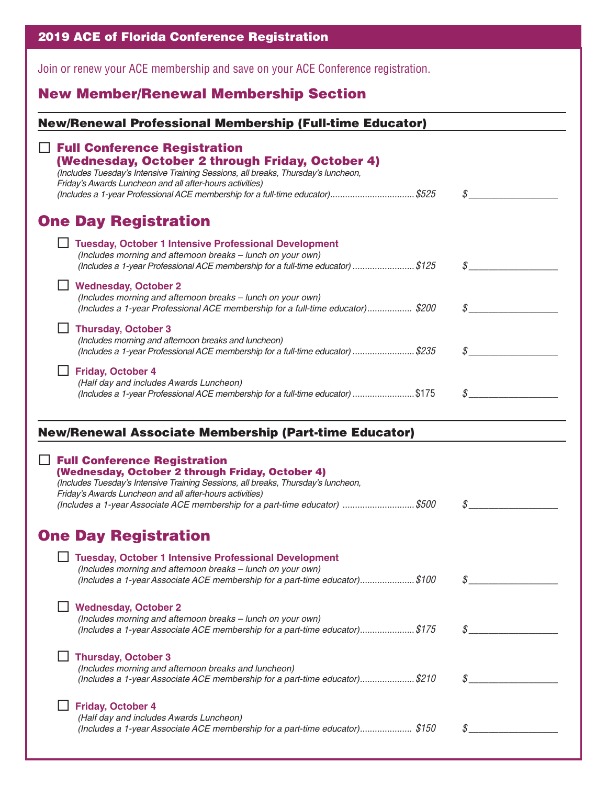|  |  |  |  | <b>2019 ACE of Florida Conference Registration</b> |  |  |
|--|--|--|--|----------------------------------------------------|--|--|
|  |  |  |  |                                                    |  |  |

Join or renew your ACE membership and save on your ACE Conference registration.

## New Member/Renewal Membership Section

| <b>New/Renewal Professional Membership (Full-time Educator)</b>                                                                                                                                                                                                                                                                                                                         |                  |
|-----------------------------------------------------------------------------------------------------------------------------------------------------------------------------------------------------------------------------------------------------------------------------------------------------------------------------------------------------------------------------------------|------------------|
| <b>Full Conference Registration</b><br>(Wednesday, October 2 through Friday, October 4)<br>(Includes Tuesday's Intensive Training Sessions, all breaks, Thursday's luncheon,<br>Friday's Awards Luncheon and all after-hours activities)<br>(Includes a 1-year Professional ACE membership for a full-time educator)\$525                                                               | $\mathcal{S}$    |
| <b>One Day Registration</b>                                                                                                                                                                                                                                                                                                                                                             |                  |
| <b>Tuesday, October 1 Intensive Professional Development</b><br>(Includes morning and afternoon breaks - lunch on your own)<br>(Includes a 1-year Professional ACE membership for a full-time educator) \$125                                                                                                                                                                           | $\mathcal{S}$    |
| <b>Wednesday, October 2</b><br>(Includes morning and afternoon breaks - lunch on your own)<br>(Includes a 1-year Professional ACE membership for a full-time educator) \$200                                                                                                                                                                                                            |                  |
| <b>Thursday, October 3</b><br>(Includes morning and afternoon breaks and luncheon)<br>(Includes a 1-year Professional ACE membership for a full-time educator) \$235                                                                                                                                                                                                                    | $\mathcal{S}$    |
| <b>Friday, October 4</b><br>(Half day and includes Awards Luncheon)<br>(Includes a 1-year Professional ACE membership for a full-time educator) \$175                                                                                                                                                                                                                                   | $\mathcal{S}$    |
| <b>New/Renewal Associate Membership (Part-time Educator)</b><br><b>Full Conference Registration</b><br>(Wednesday, October 2 through Friday, October 4)<br>(Includes Tuesday's Intensive Training Sessions, all breaks, Thursday's luncheon,<br>Friday's Awards Luncheon and all after-hours activities)<br>(Includes a 1-year Associate ACE membership for a part-time educator) \$500 | \$               |
| <b>One Day Registration</b>                                                                                                                                                                                                                                                                                                                                                             |                  |
| <b>Tuesday, October 1 Intensive Professional Development</b><br>(Includes morning and afternoon breaks - lunch on your own)<br>(Includes a 1-year Associate ACE membership for a part-time educator)\$100                                                                                                                                                                               | ${\mathcal S}_-$ |
| <b>Wednesday, October 2</b><br>(Includes morning and afternoon breaks - lunch on your own)<br>(Includes a 1-year Associate ACE membership for a part-time educator)\$175                                                                                                                                                                                                                | \$               |
| <b>Thursday, October 3</b><br>(Includes morning and afternoon breaks and luncheon)<br>(Includes a 1-year Associate ACE membership for a part-time educator)\$210                                                                                                                                                                                                                        | S                |
| <b>Friday, October 4</b><br>(Half day and includes Awards Luncheon)<br>(Includes a 1-year Associate ACE membership for a part-time educator)\$150                                                                                                                                                                                                                                       | S                |
|                                                                                                                                                                                                                                                                                                                                                                                         |                  |